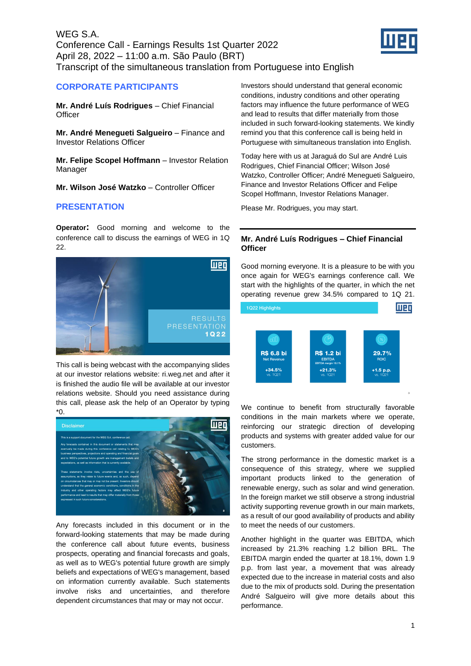

# **CORPORATE PARTICIPANTS**

**Mr. André Luís Rodrigues** – Chief Financial **Officer** 

**Mr. André Menegueti Salgueiro** – Finance and Investor Relations Officer

**Mr. Felipe Scopel Hoffmann** – Investor Relation Manager

**Mr. Wilson José Watzko** – Controller Officer

# **PRESENTATION**

**Operator:** Good morning and welcome to the conference call to discuss the earnings of WEG in 1Q 22.



This call is being webcast with the accompanying slides at our investor relations website: ri.weg.net and after it is finished the audio file will be available at our investor relations website. Should you need assistance during this call, please ask the help of an Operator by typing \*0.



Any forecasts included in this document or in the forward-looking statements that may be made during the conference call about future events, business prospects, operating and financial forecasts and goals, as well as to WEG's potential future growth are simply beliefs and expectations of WEG's management, based on information currently available. Such statements involve risks and uncertainties, and therefore dependent circumstances that may or may not occur.

Investors should understand that general economic conditions, industry conditions and other operating factors may influence the future performance of WEG and lead to results that differ materially from those included in such forward-looking statements. We kindly remind you that this conference call is being held in Portuguese with simultaneous translation into English.

Today here with us at Jaraguá do Sul are André Luis Rodrigues, Chief Financial Officer; Wilson José Watzko, Controller Officer; André Menegueti Salgueiro, Finance and Investor Relations Officer and Felipe Scopel Hoffmann, Investor Relations Manager.

Please Mr. Rodrigues, you may start.

## **Mr. André Luís Rodrigues – Chief Financial Officer**

Good morning everyone. It is a pleasure to be with you once again for WEG's earnings conference call. We start with the highlights of the quarter, in which the net operating revenue grew 34.5% compared to 1Q 21.



We continue to benefit from structurally favorable conditions in the main markets where we operate, reinforcing our strategic direction of developing products and systems with greater added value for our customers.

The strong performance in the domestic market is a consequence of this strategy, where we supplied important products linked to the generation of renewable energy, such as solar and wind generation. In the foreign market we still observe a strong industrial activity supporting revenue growth in our main markets, as a result of our good availability of products and ability to meet the needs of our customers.

Another highlight in the quarter was EBITDA, which increased by 21.3% reaching 1.2 billion BRL. The EBITDA margin ended the quarter at 18.1%, down 1.9 p.p. from last year, a movement that was already expected due to the increase in material costs and also due to the mix of products sold. During the presentation André Salgueiro will give more details about this performance.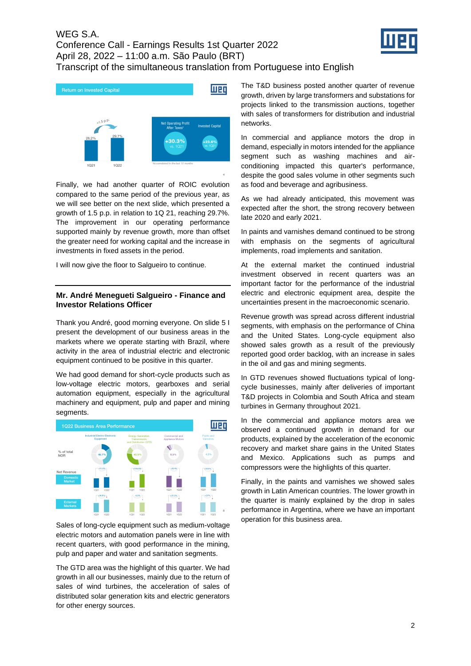



Finally, we had another quarter of ROIC evolution compared to the same period of the previous year, as we will see better on the next slide, which presented a growth of 1.5 p.p. in relation to 1Q 21, reaching 29.7%. The improvement in our operating performance supported mainly by revenue growth, more than offset the greater need for working capital and the increase in investments in fixed assets in the period.

I will now give the floor to Salgueiro to continue.

### **Mr. André Menegueti Salgueiro - Finance and Investor Relations Officer**

Thank you André, good morning everyone. On slide 5 I present the development of our business areas in the markets where we operate starting with Brazil, where activity in the area of industrial electric and electronic equipment continued to be positive in this quarter.

We had good demand for short-cycle products such as low-voltage electric motors, gearboxes and serial automation equipment, especially in the agricultural machinery and equipment, pulp and paper and mining segments.



Sales of long-cycle equipment such as medium-voltage electric motors and automation panels were in line with recent quarters, with good performance in the mining, pulp and paper and water and sanitation segments.

The GTD area was the highlight of this quarter. We had growth in all our businesses, mainly due to the return of sales of wind turbines, the acceleration of sales of distributed solar generation kits and electric generators for other energy sources.

The T&D business posted another quarter of revenue growth, driven by large transformers and substations for projects linked to the transmission auctions, together with sales of transformers for distribution and industrial networks.

In commercial and appliance motors the drop in demand, especially in motors intended for the appliance segment such as washing machines and airconditioning impacted this quarter's performance, despite the good sales volume in other segments such as food and beverage and agribusiness.

As we had already anticipated, this movement was expected after the short, the strong recovery between late 2020 and early 2021.

In paints and varnishes demand continued to be strong with emphasis on the segments of agricultural implements, road implements and sanitation.

At the external market the continued industrial investment observed in recent quarters was an important factor for the performance of the industrial electric and electronic equipment area, despite the uncertainties present in the macroeconomic scenario.

Revenue growth was spread across different industrial segments, with emphasis on the performance of China and the United States. Long-cycle equipment also showed sales growth as a result of the previously reported good order backlog, with an increase in sales in the oil and gas and mining segments.

In GTD revenues showed fluctuations typical of longcycle businesses, mainly after deliveries of important T&D projects in Colombia and South Africa and steam turbines in Germany throughout 2021.

In the commercial and appliance motors area we observed a continued growth in demand for our products, explained by the acceleration of the economic recovery and market share gains in the United States and Mexico. Applications such as pumps and compressors were the highlights of this quarter.

Finally, in the paints and varnishes we showed sales growth in Latin American countries. The lower growth in the quarter is mainly explained by the drop in sales performance in Argentina, where we have an important operation for this business area.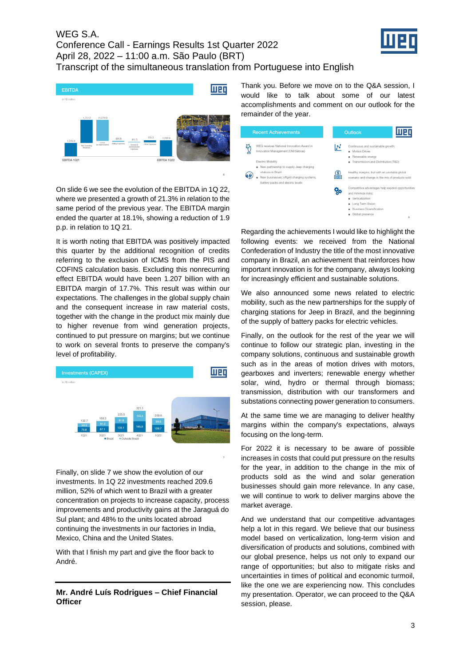



On slide 6 we see the evolution of the EBITDA in 1Q 22, where we presented a growth of 21.3% in relation to the same period of the previous year. The EBITDA margin ended the quarter at 18.1%, showing a reduction of 1.9 p.p. in relation to 1Q 21.

It is worth noting that EBITDA was positively impacted this quarter by the additional recognition of credits referring to the exclusion of ICMS from the PIS and COFINS calculation basis. Excluding this nonrecurring effect EBITDA would have been 1.207 billion with an EBITDA margin of 17.7%. This result was within our expectations. The challenges in the global supply chain and the consequent increase in raw material costs, together with the change in the product mix mainly due to higher revenue from wind generation projects, continued to put pressure on margins; but we continue to work on several fronts to preserve the company's level of profitability.



Finally, on slide 7 we show the evolution of our investments. In 1Q 22 investments reached 209.6 million, 52% of which went to Brazil with a greater concentration on projects to increase capacity, process improvements and productivity gains at the Jaraguá do Sul plant; and 48% to the units located abroad continuing the investments in our factories in India, Mexico, China and the United States.

With that I finish my part and give the floor back to André.

**Mr. André Luís Rodrigues – Chief Financial Officer**

Thank you. Before we move on to the Q&A session, I would like to talk about some of our latest accomplishments and comment on our outlook for the remainder of the year.

| <b>Recent Achievements</b>                                                                                                                      | Outlook                                                                                                                                                              |
|-------------------------------------------------------------------------------------------------------------------------------------------------|----------------------------------------------------------------------------------------------------------------------------------------------------------------------|
| WEG receives National Innovation Award in<br>Innovation Management (CNI/Sebrae)<br>Electric Mobility<br>New partnership to supply Jeep charging | Continuous and sustainable growth:<br>N<br><b>Motion Drives</b><br>٠<br>Renewable energy<br>Transmission and Distribution (T&D)                                      |
| stations in Brazil<br>New businesses: offgrid charging systems,<br>battery packs and electric boats                                             | Healthy margins, but with an unstable global<br>\$<br>hnn<br>scenario and change in the mix of products sold                                                         |
|                                                                                                                                                 | Competitive advantages help expand opportunities<br>and minimize risks:<br>Verticalization<br>Long Term Vision<br><b>Business Diversification</b><br>Global presence |
|                                                                                                                                                 | $\mathbf{R}$                                                                                                                                                         |

Regarding the achievements I would like to highlight the following events: we received from the National Confederation of Industry the title of the most innovative company in Brazil, an achievement that reinforces how important innovation is for the company, always looking for increasingly efficient and sustainable solutions.

We also announced some news related to electric mobility, such as the new partnerships for the supply of charging stations for Jeep in Brazil, and the beginning of the supply of battery packs for electric vehicles.

Finally, on the outlook for the rest of the year we will continue to follow our strategic plan, investing in the company solutions, continuous and sustainable growth such as in the areas of motion drives with motors, gearboxes and inverters; renewable energy whether solar, wind, hydro or thermal through biomass; transmission, distribution with our transformers and substations connecting power generation to consumers.

At the same time we are managing to deliver healthy margins within the company's expectations, always focusing on the long-term.

For 2022 it is necessary to be aware of possible increases in costs that could put pressure on the results for the year, in addition to the change in the mix of products sold as the wind and solar generation businesses should gain more relevance. In any case, we will continue to work to deliver margins above the market average.

And we understand that our competitive advantages help a lot in this regard. We believe that our business model based on verticalization, long-term vision and diversification of products and solutions, combined with our global presence, helps us not only to expand our range of opportunities; but also to mitigate risks and uncertainties in times of political and economic turmoil, like the one we are experiencing now. This concludes my presentation. Operator, we can proceed to the Q&A session, please.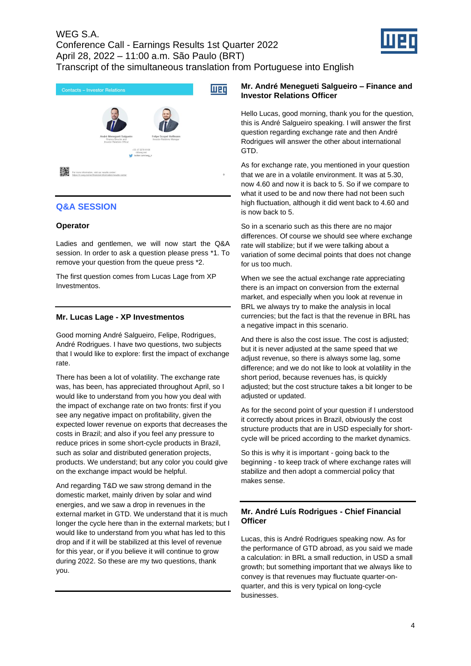



# **Q&A SESSION**

## **Operator**

Ladies and gentlemen, we will now start the Q&A session. In order to ask a question please press \*1. To remove your question from the queue press \*2.

The first question comes from Lucas Lage from XP Investmentos.

## **Mr. Lucas Lage - XP Investmentos**

Good morning André Salgueiro, Felipe, Rodrigues, André Rodrigues. I have two questions, two subjects that I would like to explore: first the impact of exchange rate.

There has been a lot of volatility. The exchange rate was, has been, has appreciated throughout April, so I would like to understand from you how you deal with the impact of exchange rate on two fronts: first if you see any negative impact on profitability, given the expected lower revenue on exports that decreases the costs in Brazil; and also if you feel any pressure to reduce prices in some short-cycle products in Brazil, such as solar and distributed generation projects, products. We understand; but any color you could give on the exchange impact would be helpful.

And regarding T&D we saw strong demand in the domestic market, mainly driven by solar and wind energies, and we saw a drop in revenues in the external market in GTD. We understand that it is much longer the cycle here than in the external markets; but I would like to understand from you what has led to this drop and if it will be stabilized at this level of revenue for this year, or if you believe it will continue to grow during 2022. So these are my two questions, thank you.

## **Mr. André Menegueti Salgueiro – Finance and Investor Relations Officer**

Hello Lucas, good morning, thank you for the question, this is André Salgueiro speaking. I will answer the first question regarding exchange rate and then André Rodrigues will answer the other about international GTD.

As for exchange rate, you mentioned in your question that we are in a volatile environment. It was at 5.30, now 4.60 and now it is back to 5. So if we compare to what it used to be and now there had not been such high fluctuation, although it did went back to 4.60 and is now back to 5.

So in a scenario such as this there are no major differences. Of course we should see where exchange rate will stabilize; but if we were talking about a variation of some decimal points that does not change for us too much.

When we see the actual exchange rate appreciating there is an impact on conversion from the external market, and especially when you look at revenue in BRL we always try to make the analysis in local currencies; but the fact is that the revenue in BRL has a negative impact in this scenario.

And there is also the cost issue. The cost is adjusted; but it is never adjusted at the same speed that we adjust revenue, so there is always some lag, some difference; and we do not like to look at volatility in the short period, because revenues has, is quickly adjusted; but the cost structure takes a bit longer to be adjusted or updated.

As for the second point of your question if I understood it correctly about prices in Brazil, obviously the cost structure products that are in USD especially for shortcycle will be priced according to the market dynamics.

So this is why it is important - going back to the beginning - to keep track of where exchange rates will stabilize and then adopt a commercial policy that makes sense.

# **Mr. André Luís Rodrigues - Chief Financial Officer**

Lucas, this is André Rodrigues speaking now. As for the performance of GTD abroad, as you said we made a calculation: in BRL a small reduction, in USD a small growth; but something important that we always like to convey is that revenues may fluctuate quarter-onquarter, and this is very typical on long-cycle businesses.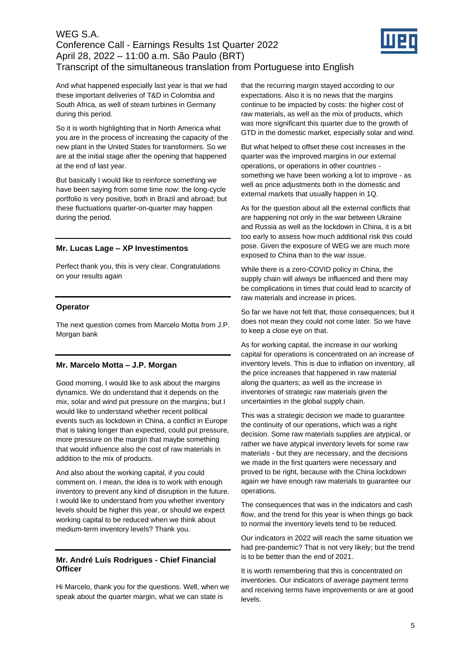

And what happened especially last year is that we had these important deliveries of T&D in Colombia and South Africa, as well of steam turbines in Germany during this period.

So it is worth highlighting that in North America what you are in the process of increasing the capacity of the new plant in the United States for transformers. So we are at the initial stage after the opening that happened at the end of last year.

But basically I would like to reinforce something we have been saying from some time now: the long-cycle portfolio is very positive, both in Brazil and abroad; but these fluctuations quarter-on-quarter may happen during the period.

## **Mr. Lucas Lage – XP Investimentos**

Perfect thank you, this is very clear. Congratulations on your results again

## **Operator**

The next question comes from Marcelo Motta from J.P. Morgan bank

# **Mr. Marcelo Motta – J.P. Morgan**

Good morning, I would like to ask about the margins dynamics. We do understand that it depends on the mix, solar and wind put pressure on the margins; but I would like to understand whether recent political events such as lockdown in China, a conflict in Europe that is taking longer than expected, could put pressure, more pressure on the margin that maybe something that would influence also the cost of raw materials in addition to the mix of products.

And also about the working capital, if you could comment on. I mean, the idea is to work with enough inventory to prevent any kind of disruption in the future. I would like to understand from you whether inventory levels should be higher this year, or should we expect working capital to be reduced when we think about medium-term inventory levels? Thank you.

## **Mr. André Luís Rodrigues - Chief Financial Officer**

Hi Marcelo, thank you for the questions. Well, when we speak about the quarter margin, what we can state is

that the recurring margin stayed according to our expectations. Also it is no news that the margins continue to be impacted by costs: the higher cost of raw materials, as well as the mix of products, which was more significant this quarter due to the growth of GTD in the domestic market, especially solar and wind.

But what helped to offset these cost increases in the quarter was the improved margins in our external operations, or operations in other countries something we have been working a lot to improve - as well as price adjustments both in the domestic and external markets that usually happen in 1Q.

As for the question about all the external conflicts that are happening not only in the war between Ukraine and Russia as well as the lockdown in China, it is a bit too early to assess how much additional risk this could pose. Given the exposure of WEG we are much more exposed to China than to the war issue.

While there is a zero-COVID policy in China, the supply chain will always be influenced and there may be complications in times that could lead to scarcity of raw materials and increase in prices.

So far we have not felt that, those consequences; but it does not mean they could not come later. So we have to keep a close eye on that.

As for working capital, the increase in our working capital for operations is concentrated on an increase of inventory levels. This is due to inflation on inventory, all the price increases that happened in raw material along the quarters; as well as the increase in inventories of strategic raw materials given the uncertainties in the global supply chain.

This was a strategic decision we made to guarantee the continuity of our operations, which was a right decision. Some raw materials supplies are atypical, or rather we have atypical inventory levels for some raw materials - but they are necessary, and the decisions we made in the first quarters were necessary and proved to be right, because with the China lockdown again we have enough raw materials to guarantee our operations.

The consequences that was in the indicators and cash flow, and the trend for this year is when things go back to normal the inventory levels tend to be reduced.

Our indicators in 2022 will reach the same situation we had pre-pandemic? That is not very likely; but the trend is to be better than the end of 2021.

It is worth remembering that this is concentrated on inventories. Our indicators of average payment terms and receiving terms have improvements or are at good levels.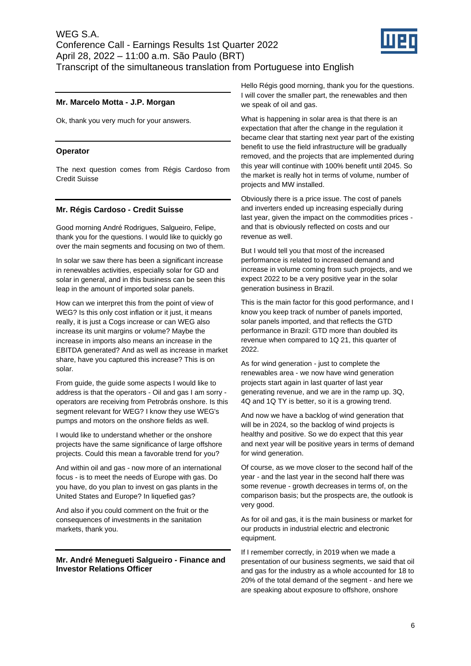

## **Mr. Marcelo Motta - J.P. Morgan**

Ok, thank you very much for your answers.

#### **Operator**

The next question comes from Régis Cardoso from Credit Suisse

#### **Mr. Régis Cardoso - Credit Suisse**

Good morning André Rodrigues, Salgueiro, Felipe, thank you for the questions. I would like to quickly go over the main segments and focusing on two of them.

In solar we saw there has been a significant increase in renewables activities, especially solar for GD and solar in general, and in this business can be seen this leap in the amount of imported solar panels.

How can we interpret this from the point of view of WEG? Is this only cost inflation or it just, it means really, it is just a Cogs increase or can WEG also increase its unit margins or volume? Maybe the increase in imports also means an increase in the EBITDA generated? And as well as increase in market share, have you captured this increase? This is on solar.

From guide, the guide some aspects I would like to address is that the operators - Oil and gas I am sorry operators are receiving from Petrobrás onshore. Is this segment relevant for WEG? I know they use WEG's pumps and motors on the onshore fields as well.

I would like to understand whether or the onshore projects have the same significance of large offshore projects. Could this mean a favorable trend for you?

And within oil and gas - now more of an international focus - is to meet the needs of Europe with gas. Do you have, do you plan to invest on gas plants in the United States and Europe? In liquefied gas?

And also if you could comment on the fruit or the consequences of investments in the sanitation markets, thank you.

#### **Mr. André Menegueti Salgueiro - Finance and Investor Relations Officer**

Hello Régis good morning, thank you for the questions. I will cover the smaller part, the renewables and then we speak of oil and gas.

What is happening in solar area is that there is an expectation that after the change in the regulation it became clear that starting next year part of the existing benefit to use the field infrastructure will be gradually removed, and the projects that are implemented during this year will continue with 100% benefit until 2045. So the market is really hot in terms of volume, number of projects and MW installed.

Obviously there is a price issue. The cost of panels and inverters ended up increasing especially during last year, given the impact on the commodities prices and that is obviously reflected on costs and our revenue as well.

But I would tell you that most of the increased performance is related to increased demand and increase in volume coming from such projects, and we expect 2022 to be a very positive year in the solar generation business in Brazil.

This is the main factor for this good performance, and I know you keep track of number of panels imported, solar panels imported, and that reflects the GTD performance in Brazil: GTD more than doubled its revenue when compared to 1Q 21, this quarter of 2022.

As for wind generation - just to complete the renewables area - we now have wind generation projects start again in last quarter of last year generating revenue, and we are in the ramp up. 3Q, 4Q and 1Q TY is better, so it is a growing trend.

And now we have a backlog of wind generation that will be in 2024, so the backlog of wind projects is healthy and positive. So we do expect that this year and next year will be positive years in terms of demand for wind generation.

Of course, as we move closer to the second half of the year - and the last year in the second half there was some revenue - growth decreases in terms of, on the comparison basis; but the prospects are, the outlook is very good.

As for oil and gas, it is the main business or market for our products in industrial electric and electronic equipment.

If I remember correctly, in 2019 when we made a presentation of our business segments, we said that oil and gas for the industry as a whole accounted for 18 to 20% of the total demand of the segment - and here we are speaking about exposure to offshore, onshore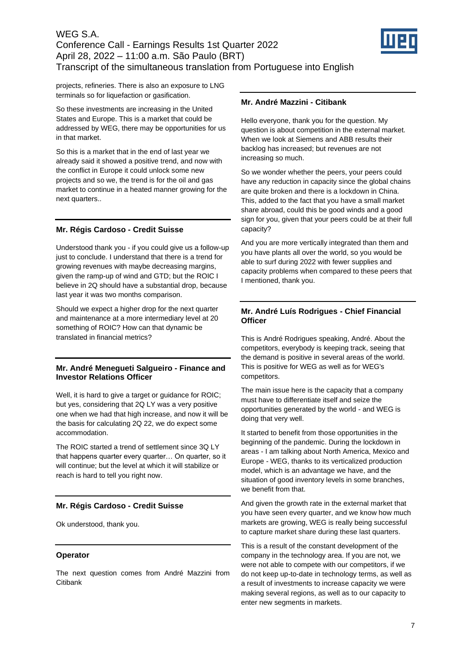

projects, refineries. There is also an exposure to LNG terminals so for liquefaction or gasification.

So these investments are increasing in the United States and Europe. This is a market that could be addressed by WEG, there may be opportunities for us in that market.

So this is a market that in the end of last year we already said it showed a positive trend, and now with the conflict in Europe it could unlock some new projects and so we, the trend is for the oil and gas market to continue in a heated manner growing for the next quarters..

# **Mr. Régis Cardoso - Credit Suisse**

Understood thank you - if you could give us a follow-up just to conclude. I understand that there is a trend for growing revenues with maybe decreasing margins, given the ramp-up of wind and GTD; but the ROIC I believe in 2Q should have a substantial drop, because last year it was two months comparison.

Should we expect a higher drop for the next quarter and maintenance at a more intermediary level at 20 something of ROIC? How can that dynamic be translated in financial metrics?

# **Mr. André Menegueti Salgueiro - Finance and Investor Relations Officer**

Well, it is hard to give a target or guidance for ROIC; but yes, considering that 2Q LY was a very positive one when we had that high increase, and now it will be the basis for calculating 2Q 22, we do expect some accommodation.

The ROIC started a trend of settlement since 3Q LY that happens quarter every quarter… On quarter, so it will continue; but the level at which it will stabilize or reach is hard to tell you right now.

# **Mr. Régis Cardoso - Credit Suisse**

Ok understood, thank you.

# **Operator**

The next question comes from André Mazzini from **Citibank** 

## **Mr. André Mazzini - Citibank**

Hello everyone, thank you for the question. My question is about competition in the external market. When we look at Siemens and ABB results their backlog has increased; but revenues are not increasing so much.

So we wonder whether the peers, your peers could have any reduction in capacity since the global chains are quite broken and there is a lockdown in China. This, added to the fact that you have a small market share abroad, could this be good winds and a good sign for you, given that your peers could be at their full capacity?

And you are more vertically integrated than them and you have plants all over the world, so you would be able to surf during 2022 with fewer supplies and capacity problems when compared to these peers that I mentioned, thank you.

# **Mr. André Luís Rodrigues - Chief Financial Officer**

This is André Rodrigues speaking, André. About the competitors, everybody is keeping track, seeing that the demand is positive in several areas of the world. This is positive for WEG as well as for WEG's competitors.

The main issue here is the capacity that a company must have to differentiate itself and seize the opportunities generated by the world - and WEG is doing that very well.

It started to benefit from those opportunities in the beginning of the pandemic. During the lockdown in areas - I am talking about North America, Mexico and Europe - WEG, thanks to its verticalized production model, which is an advantage we have, and the situation of good inventory levels in some branches, we benefit from that.

And given the growth rate in the external market that you have seen every quarter, and we know how much markets are growing, WEG is really being successful to capture market share during these last quarters.

This is a result of the constant development of the company in the technology area. If you are not, we were not able to compete with our competitors, if we do not keep up-to-date in technology terms, as well as a result of investments to increase capacity we were making several regions, as well as to our capacity to enter new segments in markets.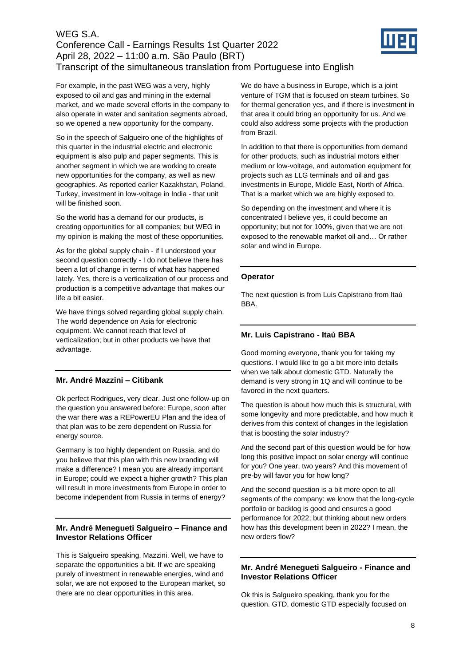

For example, in the past WEG was a very, highly exposed to oil and gas and mining in the external market, and we made several efforts in the company to also operate in water and sanitation segments abroad, so we opened a new opportunity for the company.

So in the speech of Salgueiro one of the highlights of this quarter in the industrial electric and electronic equipment is also pulp and paper segments. This is another segment in which we are working to create new opportunities for the company, as well as new geographies. As reported earlier Kazakhstan, Poland, Turkey, investment in low-voltage in India - that unit will be finished soon.

So the world has a demand for our products, is creating opportunities for all companies; but WEG in my opinion is making the most of these opportunities.

As for the global supply chain - if I understood your second question correctly - I do not believe there has been a lot of change in terms of what has happened lately. Yes, there is a verticalization of our process and production is a competitive advantage that makes our life a bit easier.

We have things solved regarding global supply chain. The world dependence on Asia for electronic equipment. We cannot reach that level of verticalization; but in other products we have that advantage.

# **Mr. André Mazzini – Citibank**

Ok perfect Rodrigues, very clear. Just one follow-up on the question you answered before: Europe, soon after the war there was a REPowerEU Plan and the idea of that plan was to be zero dependent on Russia for energy source.

Germany is too highly dependent on Russia, and do you believe that this plan with this new branding will make a difference? I mean you are already important in Europe; could we expect a higher growth? This plan will result in more investments from Europe in order to become independent from Russia in terms of energy?

### **Mr. André Menegueti Salgueiro – Finance and Investor Relations Officer**

This is Salgueiro speaking, Mazzini. Well, we have to separate the opportunities a bit. If we are speaking purely of investment in renewable energies, wind and solar, we are not exposed to the European market, so there are no clear opportunities in this area.

We do have a business in Europe, which is a joint venture of TGM that is focused on steam turbines. So for thermal generation yes, and if there is investment in that area it could bring an opportunity for us. And we could also address some projects with the production from Brazil.

In addition to that there is opportunities from demand for other products, such as industrial motors either medium or low-voltage, and automation equipment for projects such as LLG terminals and oil and gas investments in Europe, Middle East, North of Africa. That is a market which we are highly exposed to.

So depending on the investment and where it is concentrated I believe yes, it could become an opportunity; but not for 100%, given that we are not exposed to the renewable market oil and… Or rather solar and wind in Europe.

#### **Operator**

The next question is from Luis Capistrano from Itaú BBA.

# **Mr. Luis Capistrano - Itaú BBA**

Good morning everyone, thank you for taking my questions. I would like to go a bit more into details when we talk about domestic GTD. Naturally the demand is very strong in 1Q and will continue to be favored in the next quarters.

The question is about how much this is structural, with some longevity and more predictable, and how much it derives from this context of changes in the legislation that is boosting the solar industry?

And the second part of this question would be for how long this positive impact on solar energy will continue for you? One year, two years? And this movement of pre-by will favor you for how long?

And the second question is a bit more open to all segments of the company: we know that the long-cycle portfolio or backlog is good and ensures a good performance for 2022; but thinking about new orders how has this development been in 2022? I mean, the new orders flow?

### **Mr. André Menegueti Salgueiro - Finance and Investor Relations Officer**

Ok this is Salgueiro speaking, thank you for the question. GTD, domestic GTD especially focused on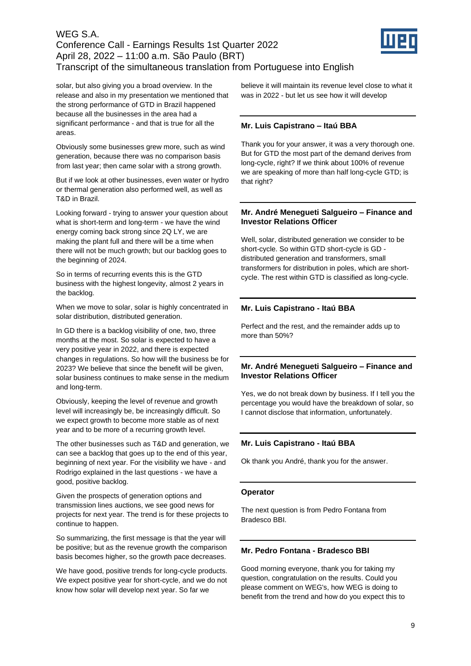

solar, but also giving you a broad overview. In the release and also in my presentation we mentioned that the strong performance of GTD in Brazil happened because all the businesses in the area had a significant performance - and that is true for all the areas.

Obviously some businesses grew more, such as wind generation, because there was no comparison basis from last year; then came solar with a strong growth.

But if we look at other businesses, even water or hydro or thermal generation also performed well, as well as T&D in Brazil.

Looking forward - trying to answer your question about what is short-term and long-term - we have the wind energy coming back strong since 2Q LY, we are making the plant full and there will be a time when there will not be much growth; but our backlog goes to the beginning of 2024.

So in terms of recurring events this is the GTD business with the highest longevity, almost 2 years in the backlog.

When we move to solar, solar is highly concentrated in solar distribution, distributed generation.

In GD there is a backlog visibility of one, two, three months at the most. So solar is expected to have a very positive year in 2022, and there is expected changes in regulations. So how will the business be for 2023? We believe that since the benefit will be given, solar business continues to make sense in the medium and long-term.

Obviously, keeping the level of revenue and growth level will increasingly be, be increasingly difficult. So we expect growth to become more stable as of next year and to be more of a recurring growth level.

The other businesses such as T&D and generation, we can see a backlog that goes up to the end of this year, beginning of next year. For the visibility we have - and Rodrigo explained in the last questions - we have a good, positive backlog.

Given the prospects of generation options and transmission lines auctions, we see good news for projects for next year. The trend is for these projects to continue to happen.

So summarizing, the first message is that the year will be positive; but as the revenue growth the comparison basis becomes higher, so the growth pace decreases.

We have good, positive trends for long-cycle products. We expect positive year for short-cycle, and we do not know how solar will develop next year. So far we

believe it will maintain its revenue level close to what it was in 2022 - but let us see how it will develop

## **Mr. Luis Capistrano – Itaú BBA**

Thank you for your answer, it was a very thorough one. But for GTD the most part of the demand derives from long-cycle, right? If we think about 100% of revenue we are speaking of more than half long-cycle GTD; is that right?

### **Mr. André Menegueti Salgueiro – Finance and Investor Relations Officer**

Well, solar, distributed generation we consider to be short-cycle. So within GTD short-cycle is GD distributed generation and transformers, small transformers for distribution in poles, which are shortcycle. The rest within GTD is classified as long-cycle.

# **Mr. Luis Capistrano - Itaú BBA**

Perfect and the rest, and the remainder adds up to more than 50%?

### **Mr. André Menegueti Salgueiro – Finance and Investor Relations Officer**

Yes, we do not break down by business. If I tell you the percentage you would have the breakdown of solar, so I cannot disclose that information, unfortunately.

### **Mr. Luis Capistrano - Itaú BBA**

Ok thank you André, thank you for the answer.

### **Operator**

The next question is from Pedro Fontana from Bradesco BBI.

### **Mr. Pedro Fontana - Bradesco BBI**

Good morning everyone, thank you for taking my question, congratulation on the results. Could you please comment on WEG's, how WEG is doing to benefit from the trend and how do you expect this to